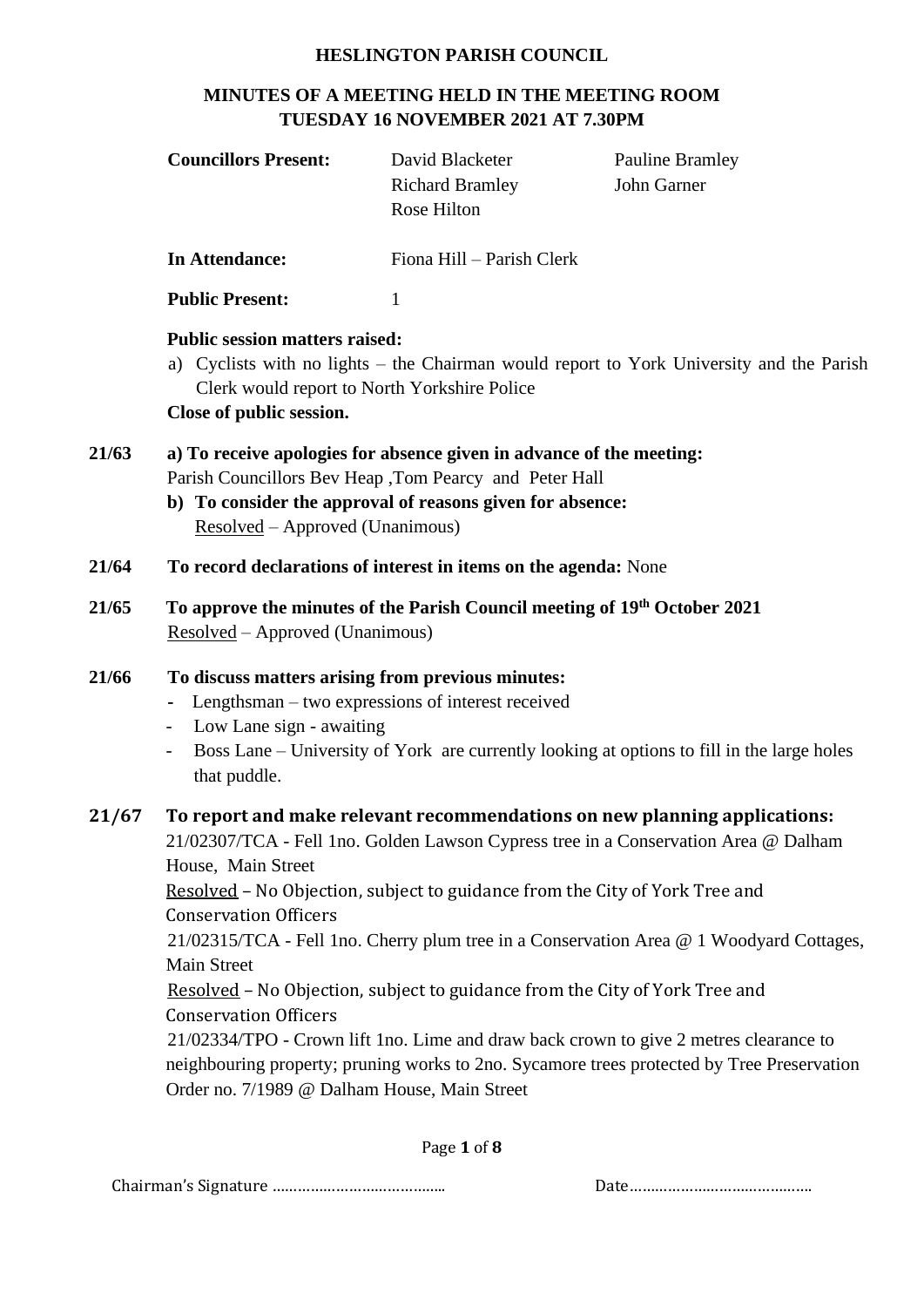#### **HESLINGTON PARISH COUNCIL**

## **MINUTES OF A MEETING HELD IN THE MEETING ROOM TUESDAY 16 NOVEMBER 2021 AT 7.30PM**

|       | <b>Councillors Present:</b>                                                                                                                                                                                                                                                      | David Blacketer<br><b>Richard Bramley</b><br>Rose Hilton                                                                                                   | <b>Pauline Bramley</b><br>John Garner                                                                                                                                                                                                                                                                                                                                                                                                              |  |  |
|-------|----------------------------------------------------------------------------------------------------------------------------------------------------------------------------------------------------------------------------------------------------------------------------------|------------------------------------------------------------------------------------------------------------------------------------------------------------|----------------------------------------------------------------------------------------------------------------------------------------------------------------------------------------------------------------------------------------------------------------------------------------------------------------------------------------------------------------------------------------------------------------------------------------------------|--|--|
|       | <b>In Attendance:</b>                                                                                                                                                                                                                                                            | Fiona Hill - Parish Clerk                                                                                                                                  |                                                                                                                                                                                                                                                                                                                                                                                                                                                    |  |  |
|       | <b>Public Present:</b>                                                                                                                                                                                                                                                           | 1                                                                                                                                                          |                                                                                                                                                                                                                                                                                                                                                                                                                                                    |  |  |
|       | <b>Public session matters raised:</b><br>Clerk would report to North Yorkshire Police<br>Close of public session.                                                                                                                                                                |                                                                                                                                                            | a) Cyclists with no lights – the Chairman would report to York University and the Parish                                                                                                                                                                                                                                                                                                                                                           |  |  |
| 21/63 | a) To receive apologies for absence given in advance of the meeting:<br>Parish Councillors Bev Heap , Tom Pearcy and Peter Hall<br>b) To consider the approval of reasons given for absence:<br>Resolved – Approved (Unanimous)                                                  |                                                                                                                                                            |                                                                                                                                                                                                                                                                                                                                                                                                                                                    |  |  |
| 21/64 | To record declarations of interest in items on the agenda: None                                                                                                                                                                                                                  |                                                                                                                                                            |                                                                                                                                                                                                                                                                                                                                                                                                                                                    |  |  |
| 21/65 | Resolved – Approved (Unanimous)                                                                                                                                                                                                                                                  | To approve the minutes of the Parish Council meeting of 19th October 2021                                                                                  |                                                                                                                                                                                                                                                                                                                                                                                                                                                    |  |  |
| 21/66 | To discuss matters arising from previous minutes:<br>Lengthsman – two expressions of interest received<br>$\qquad \qquad \blacksquare$<br>Low Lane sign - awaiting<br>Boss Lane – University of York are currently looking at options to fill in the large holes<br>that puddle. |                                                                                                                                                            |                                                                                                                                                                                                                                                                                                                                                                                                                                                    |  |  |
| 21/67 | House, Main Street<br><b>Conservation Officers</b><br>Main Street<br><b>Conservation Officers</b><br>Order no. 7/1989 @ Dalham House, Main Street                                                                                                                                | Resolved - No Objection, subject to guidance from the City of York Tree and<br>Resolved - No Objection, subject to guidance from the City of York Tree and | To report and make relevant recommendations on new planning applications:<br>21/02307/TCA - Fell 1no. Golden Lawson Cypress tree in a Conservation Area @ Dalham<br>21/02315/TCA - Fell 1no. Cherry plum tree in a Conservation Area @ 1 Woodyard Cottages,<br>21/02334/TPO - Crown lift 1no. Lime and draw back crown to give 2 metres clearance to<br>neighbouring property; pruning works to 2no. Sycamore trees protected by Tree Preservation |  |  |
|       |                                                                                                                                                                                                                                                                                  | $D_{200}$ 1 of 0                                                                                                                                           |                                                                                                                                                                                                                                                                                                                                                                                                                                                    |  |  |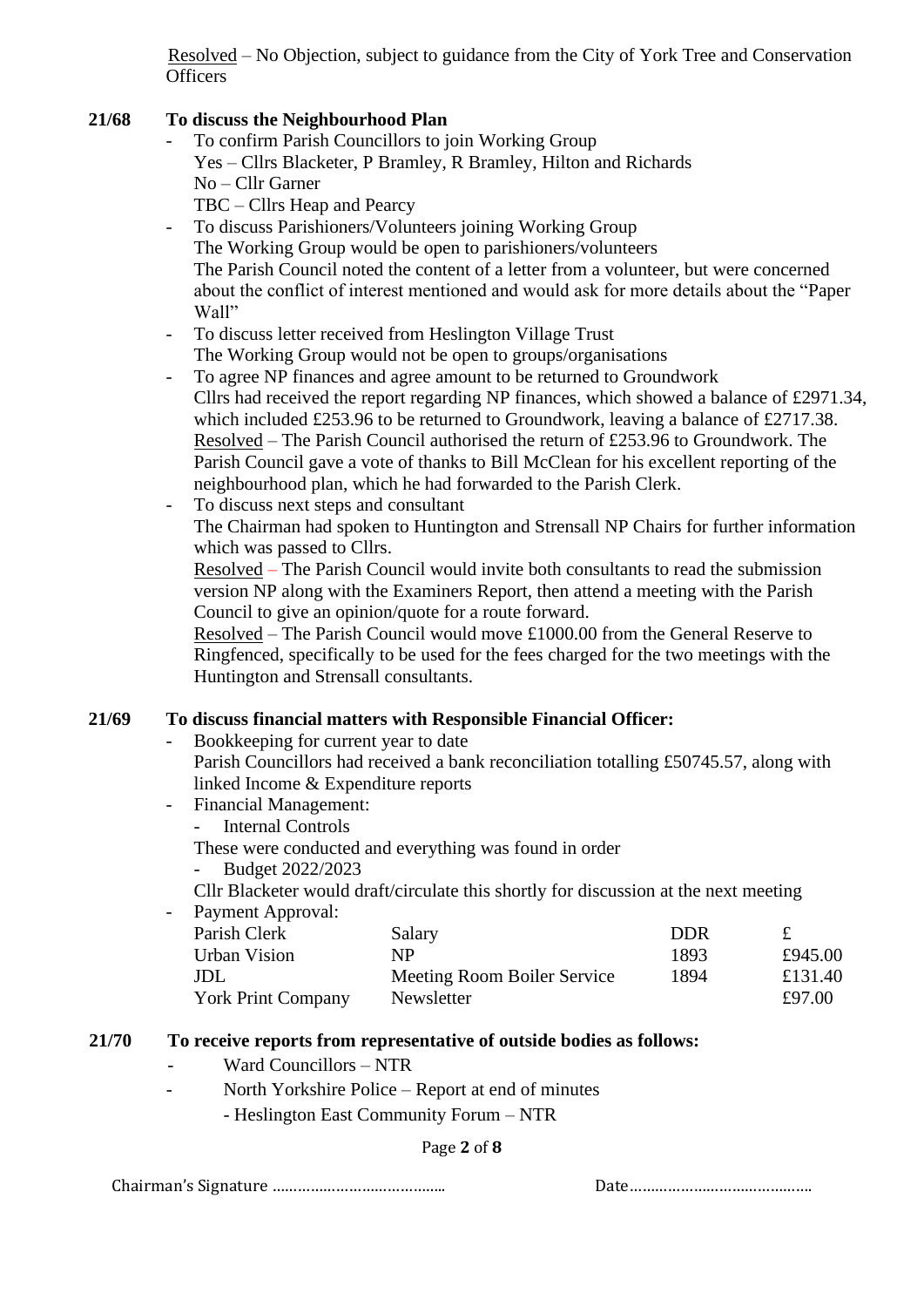Resolved – No Objection, subject to guidance from the City of York Tree and Conservation **Officers** 

#### **21/68 To discuss the Neighbourhood Plan**

- To confirm Parish Councillors to join Working Group
	- Yes Cllrs Blacketer, P Bramley, R Bramley, Hilton and Richards
- No Cllr Garner

TBC – Cllrs Heap and Pearcy

- To discuss Parishioners/Volunteers joining Working Group The Working Group would be open to parishioners/volunteers The Parish Council noted the content of a letter from a volunteer, but were concerned about the conflict of interest mentioned and would ask for more details about the "Paper Wall"
- To discuss letter received from Heslington Village Trust The Working Group would not be open to groups/organisations
- To agree NP finances and agree amount to be returned to Groundwork Cllrs had received the report regarding NP finances, which showed a balance of £2971.34, which included £253.96 to be returned to Groundwork, leaving a balance of £2717.38. Resolved – The Parish Council authorised the return of £253.96 to Groundwork. The Parish Council gave a vote of thanks to Bill McClean for his excellent reporting of the neighbourhood plan, which he had forwarded to the Parish Clerk.
- To discuss next steps and consultant

The Chairman had spoken to Huntington and Strensall NP Chairs for further information which was passed to Cllrs.

Resolved – The Parish Council would invite both consultants to read the submission version NP along with the Examiners Report, then attend a meeting with the Parish Council to give an opinion/quote for a route forward.

Resolved – The Parish Council would move £1000.00 from the General Reserve to Ringfenced, specifically to be used for the fees charged for the two meetings with the Huntington and Strensall consultants.

## **21/69 To discuss financial matters with Responsible Financial Officer:**

- Bookkeeping for current year to date Parish Councillors had received a bank reconciliation totalling £50745.57, along with linked Income & Expenditure reports
- Financial Management:
	- Internal Controls
	- These were conducted and everything was found in order
	- Budget 2022/2023

Cllr Blacketer would draft/circulate this shortly for discussion at the next meeting

- Payment Approval: Parish Clerk Salary DDR £ Urban Vision NP 1893 £945.00 JDL Meeting Room Boiler Service 1894 £131.40 York Print Company Newsletter **E**97.00

#### **21/70 To receive reports from representative of outside bodies as follows:**

- Ward Councillors NTR
- North Yorkshire Police Report at end of minutes
	- Heslington East Community Forum NTR

#### Page **2** of **8**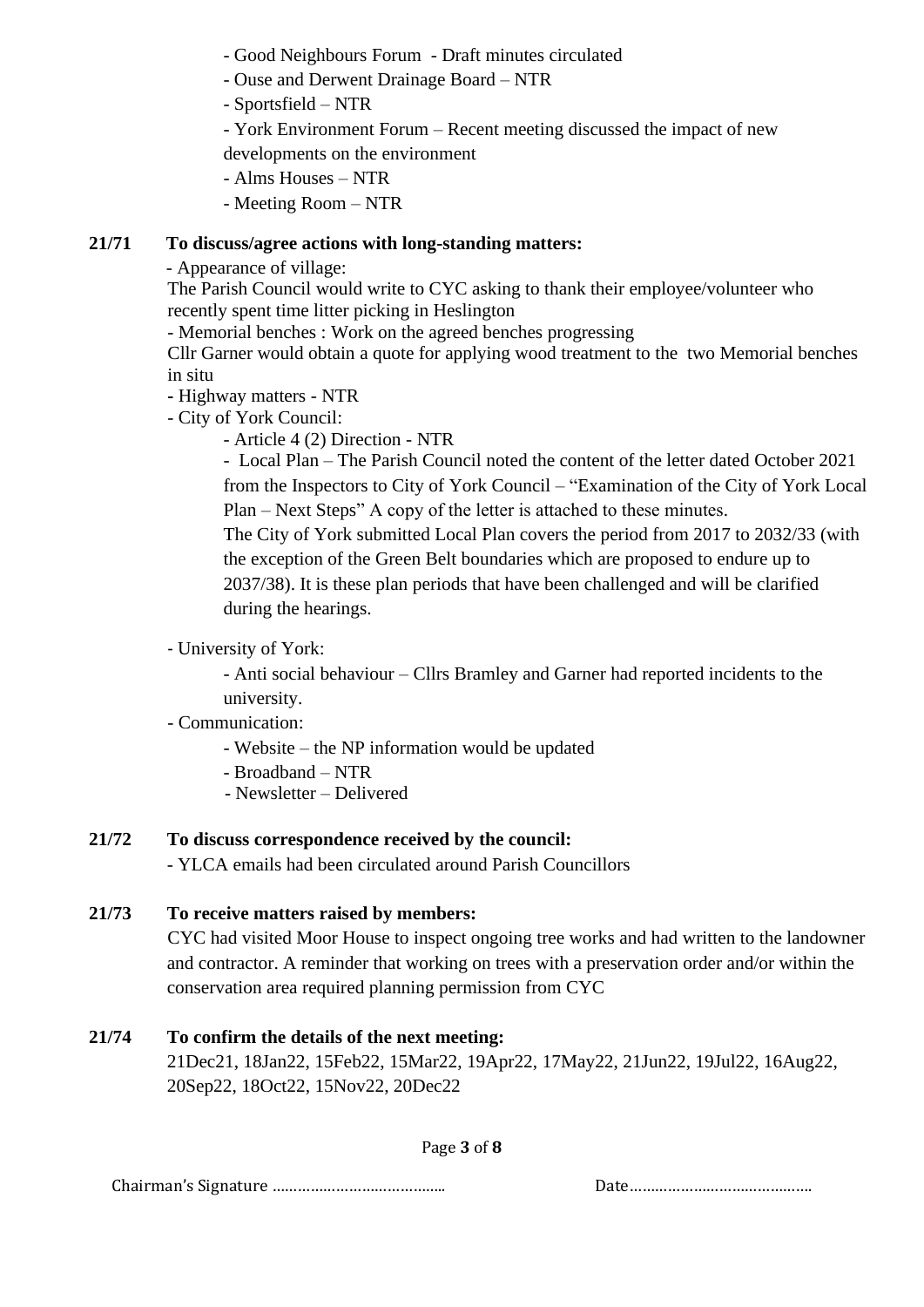- Good Neighbours Forum - Draft minutes circulated

- Ouse and Derwent Drainage Board NTR
- Sportsfield NTR
- York Environment Forum Recent meeting discussed the impact of new developments on the environment
- Alms Houses NTR
- Meeting Room NTR

## **21/71 To discuss/agree actions with long-standing matters:**

- Appearance of village:

The Parish Council would write to CYC asking to thank their employee/volunteer who recently spent time litter picking in Heslington

- Memorial benches : Work on the agreed benches progressing

Cllr Garner would obtain a quote for applying wood treatment to the two Memorial benches in situ

- **-** Highway matters NTR
- City of York Council:
	- Article 4 (2) Direction NTR

- Local Plan – The Parish Council noted the content of the letter dated October 2021 from the Inspectors to City of York Council – "Examination of the City of York Local Plan – Next Steps" A copy of the letter is attached to these minutes.

The City of York submitted Local Plan covers the period from 2017 to 2032/33 (with the exception of the Green Belt boundaries which are proposed to endure up to 2037/38). It is these plan periods that have been challenged and will be clarified during the hearings.

# - University of York:

- Anti social behaviour – Cllrs Bramley and Garner had reported incidents to the university.

## - Communication:

- Website the NP information would be updated
- Broadband NTR
- Newsletter Delivered

# **21/72 To discuss correspondence received by the council:**

- YLCA emails had been circulated around Parish Councillors

## **21/73 To receive matters raised by members:**

CYC had visited Moor House to inspect ongoing tree works and had written to the landowner and contractor. A reminder that working on trees with a preservation order and/or within the conservation area required planning permission from CYC

# **21/74 To confirm the details of the next meeting:**

21Dec21, 18Jan22, 15Feb22, 15Mar22, 19Apr22, 17May22, 21Jun22, 19Jul22, 16Aug22, 20Sep22, 18Oct22, 15Nov22, 20Dec22

Page **3** of **8**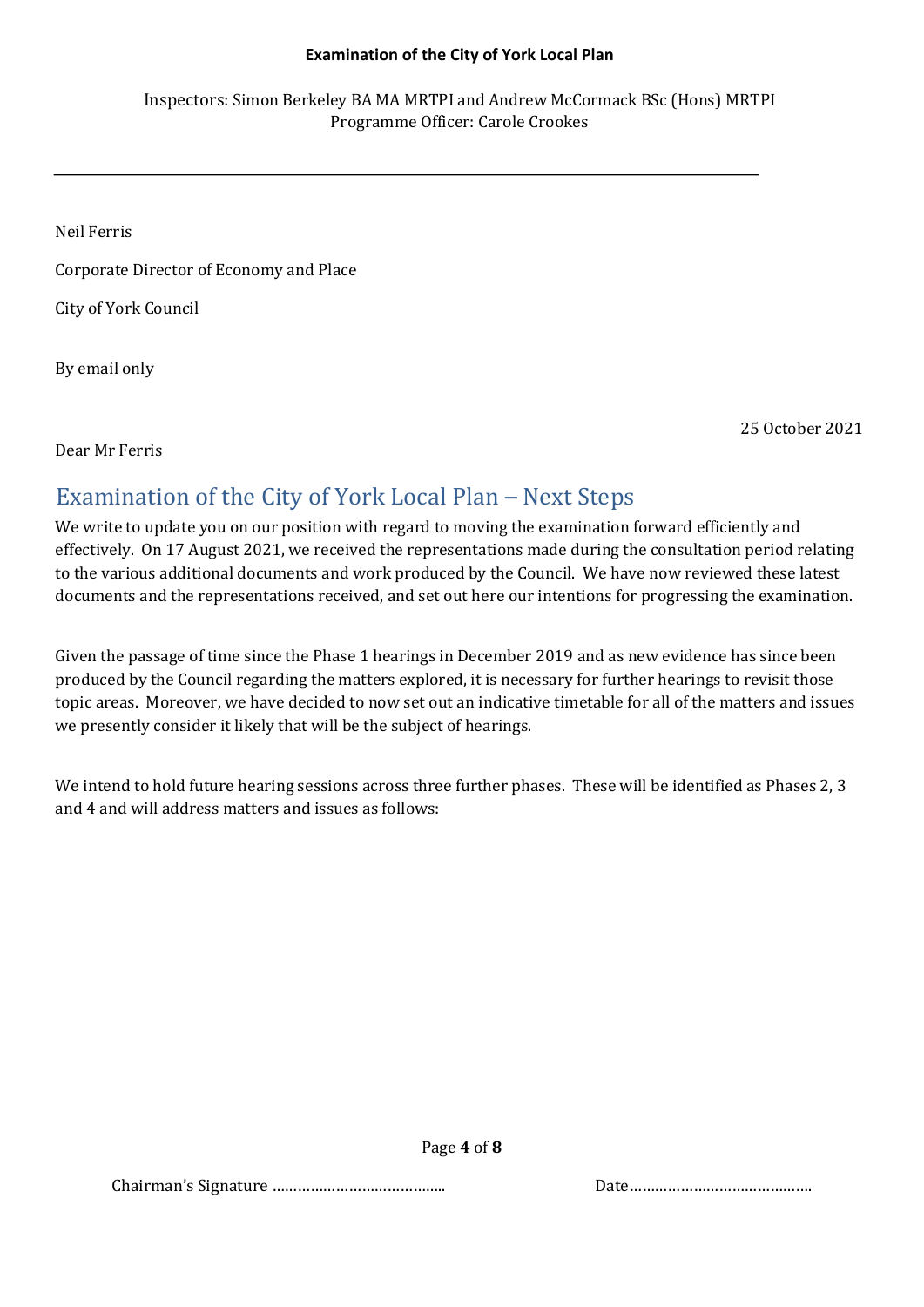#### **Examination of the City of York Local Plan**

Inspectors: Simon Berkeley BA MA MRTPI and Andrew McCormack BSc (Hons) MRTPI Programme Officer: Carole Crookes

Neil Ferris

Corporate Director of Economy and Place

City of York Council

By email only

25 October 2021

Dear Mr Ferris

# Examination of the City of York Local Plan – Next Steps

We write to update you on our position with regard to moving the examination forward efficiently and effectively. On 17 August 2021, we received the representations made during the consultation period relating to the various additional documents and work produced by the Council. We have now reviewed these latest documents and the representations received, and set out here our intentions for progressing the examination.

Given the passage of time since the Phase 1 hearings in December 2019 and as new evidence has since been produced by the Council regarding the matters explored, it is necessary for further hearings to revisit those topic areas. Moreover, we have decided to now set out an indicative timetable for all of the matters and issues we presently consider it likely that will be the subject of hearings.

We intend to hold future hearing sessions across three further phases. These will be identified as Phases 2, 3 and 4 and will address matters and issues as follows:

Page **4** of **8**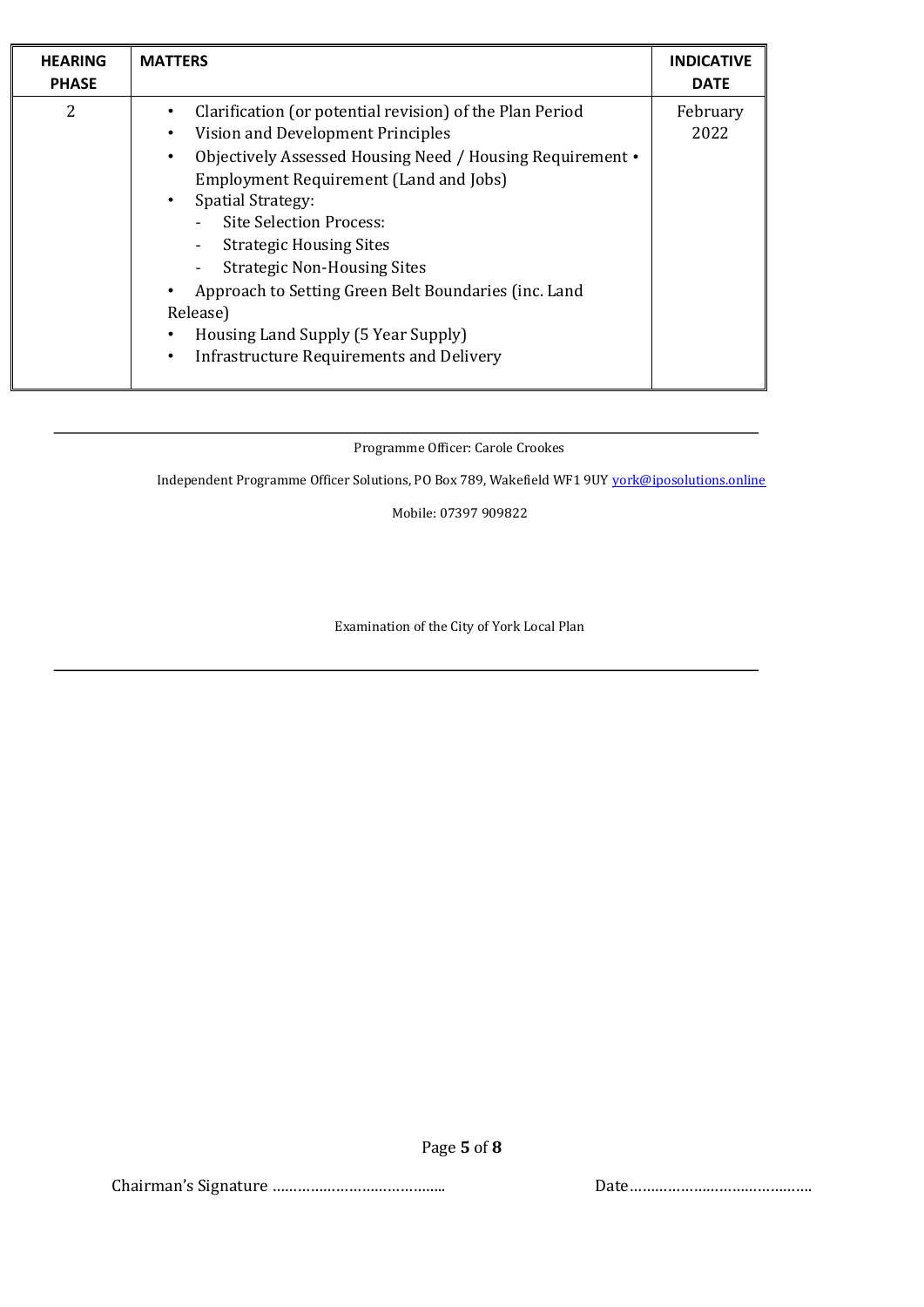| <b>HEARING</b><br><b>PHASE</b> | <b>MATTERS</b>                                                                                                                                                                                                                                                                                                                                                                                                                                                                                                                                  | <b>INDICATIVE</b><br><b>DATE</b> |
|--------------------------------|-------------------------------------------------------------------------------------------------------------------------------------------------------------------------------------------------------------------------------------------------------------------------------------------------------------------------------------------------------------------------------------------------------------------------------------------------------------------------------------------------------------------------------------------------|----------------------------------|
| 2                              | Clarification (or potential revision) of the Plan Period<br>Vision and Development Principles<br>$\bullet$<br>Objectively Assessed Housing Need / Housing Requirement •<br>$\bullet$<br><b>Employment Requirement (Land and Jobs)</b><br><b>Spatial Strategy:</b><br>$\bullet$<br><b>Site Selection Process:</b><br><b>Strategic Housing Sites</b><br><b>Strategic Non-Housing Sites</b><br>Approach to Setting Green Belt Boundaries (inc. Land<br>Release)<br>Housing Land Supply (5 Year Supply)<br>Infrastructure Requirements and Delivery | February<br>2022                 |

Programme Officer: Carole Crookes

Independent Programme Officer Solutions, PO Box 789, Wakefield WF1 9UY york@iposolutions.online

Mobile: 07397 909822

Examination of the City of York Local Plan

Chairman's Signature ………………………………….. Date…………………………………….

Page **5** of **8**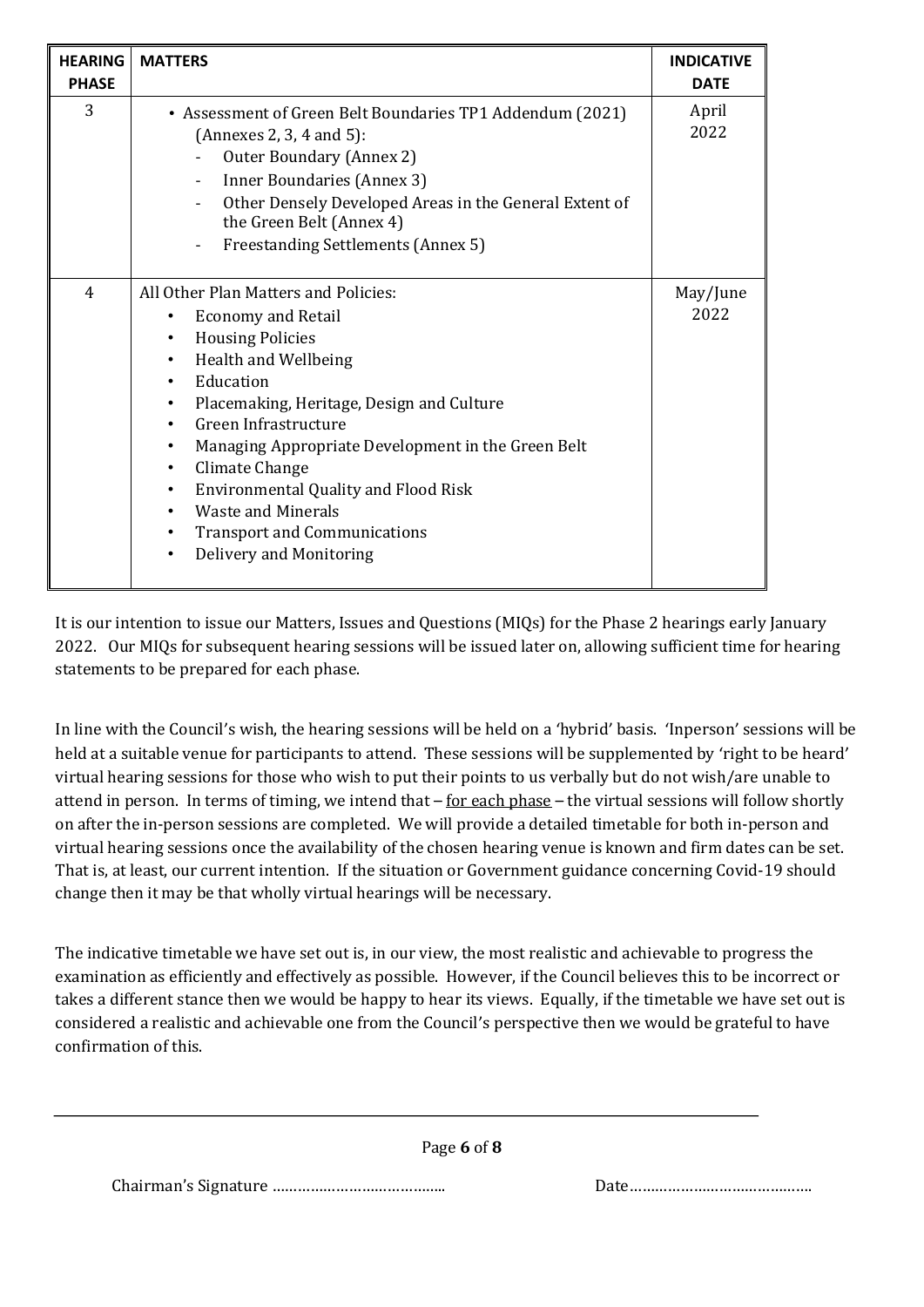| <b>HEARING</b><br><b>PHASE</b> | <b>MATTERS</b>                                                                                                                                                                                                                                                                                                                                                                                                                                                                                                                                              | <b>INDICATIVE</b><br><b>DATE</b> |
|--------------------------------|-------------------------------------------------------------------------------------------------------------------------------------------------------------------------------------------------------------------------------------------------------------------------------------------------------------------------------------------------------------------------------------------------------------------------------------------------------------------------------------------------------------------------------------------------------------|----------------------------------|
| 3                              | • Assessment of Green Belt Boundaries TP1 Addendum (2021)<br>(Annexes 2, 3, 4 and 5):<br>Outer Boundary (Annex 2)<br>Inner Boundaries (Annex 3)<br>$\overline{\phantom{a}}$<br>Other Densely Developed Areas in the General Extent of<br>the Green Belt (Annex 4)<br>Freestanding Settlements (Annex 5)                                                                                                                                                                                                                                                     | April<br>2022                    |
| 4                              | All Other Plan Matters and Policies:<br><b>Economy and Retail</b><br><b>Housing Policies</b><br>$\bullet$<br>Health and Wellbeing<br>$\bullet$<br>Education<br>$\bullet$<br>Placemaking, Heritage, Design and Culture<br>$\bullet$<br>Green Infrastructure<br>$\bullet$<br>Managing Appropriate Development in the Green Belt<br>$\bullet$<br>Climate Change<br>٠<br><b>Environmental Quality and Flood Risk</b><br>$\bullet$<br><b>Waste and Minerals</b><br>٠<br><b>Transport and Communications</b><br>$\bullet$<br>Delivery and Monitoring<br>$\bullet$ | May/June<br>2022                 |

It is our intention to issue our Matters, Issues and Questions (MIQs) for the Phase 2 hearings early January 2022. Our MIQs for subsequent hearing sessions will be issued later on, allowing sufficient time for hearing statements to be prepared for each phase.

In line with the Council's wish, the hearing sessions will be held on a 'hybrid' basis. 'Inperson' sessions will be held at a suitable venue for participants to attend. These sessions will be supplemented by 'right to be heard' virtual hearing sessions for those who wish to put their points to us verbally but do not wish/are unable to attend in person. In terms of timing, we intend that  $-$  for each phase  $-$  the virtual sessions will follow shortly on after the in-person sessions are completed. We will provide a detailed timetable for both in-person and virtual hearing sessions once the availability of the chosen hearing venue is known and firm dates can be set. That is, at least, our current intention. If the situation or Government guidance concerning Covid-19 should change then it may be that wholly virtual hearings will be necessary.

The indicative timetable we have set out is, in our view, the most realistic and achievable to progress the examination as efficiently and effectively as possible. However, if the Council believes this to be incorrect or takes a different stance then we would be happy to hear its views. Equally, if the timetable we have set out is considered a realistic and achievable one from the Council's perspective then we would be grateful to have confirmation of this.

Page **6** of **8**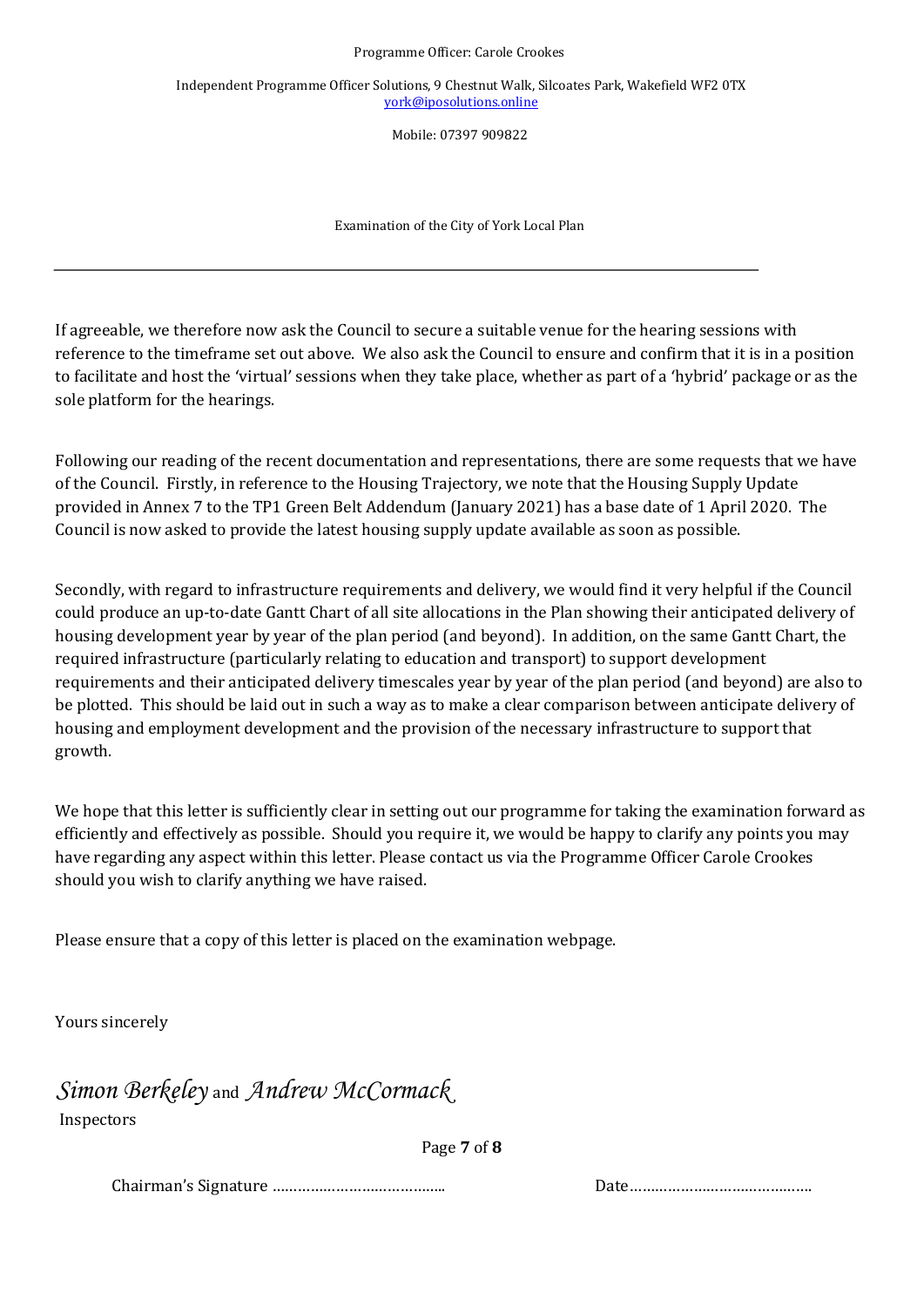Independent Programme Officer Solutions, 9 Chestnut Walk, Silcoates Park, Wakefield WF2 0TX york@iposolutions.online

Mobile: 07397 909822

Examination of the City of York Local Plan

If agreeable, we therefore now ask the Council to secure a suitable venue for the hearing sessions with reference to the timeframe set out above. We also ask the Council to ensure and confirm that it is in a position to facilitate and host the 'virtual' sessions when they take place, whether as part of a 'hybrid' package or as the sole platform for the hearings.

Following our reading of the recent documentation and representations, there are some requests that we have of the Council. Firstly, in reference to the Housing Trajectory, we note that the Housing Supply Update provided in Annex 7 to the TP1 Green Belt Addendum (January 2021) has a base date of 1 April 2020. The Council is now asked to provide the latest housing supply update available as soon as possible.

Secondly, with regard to infrastructure requirements and delivery, we would find it very helpful if the Council could produce an up-to-date Gantt Chart of all site allocations in the Plan showing their anticipated delivery of housing development year by year of the plan period (and beyond). In addition, on the same Gantt Chart, the required infrastructure (particularly relating to education and transport) to support development requirements and their anticipated delivery timescales year by year of the plan period (and beyond) are also to be plotted. This should be laid out in such a way as to make a clear comparison between anticipate delivery of housing and employment development and the provision of the necessary infrastructure to support that growth.

We hope that this letter is sufficiently clear in setting out our programme for taking the examination forward as efficiently and effectively as possible. Should you require it, we would be happy to clarify any points you may have regarding any aspect within this letter. Please contact us via the Programme Officer Carole Crookes should you wish to clarify anything we have raised.

Please ensure that a copy of this letter is placed on the examination webpage.

Yours sincerely

*Simon Berkeley* and *Andrew McCormack*  Inspectors

Page **7** of **8**